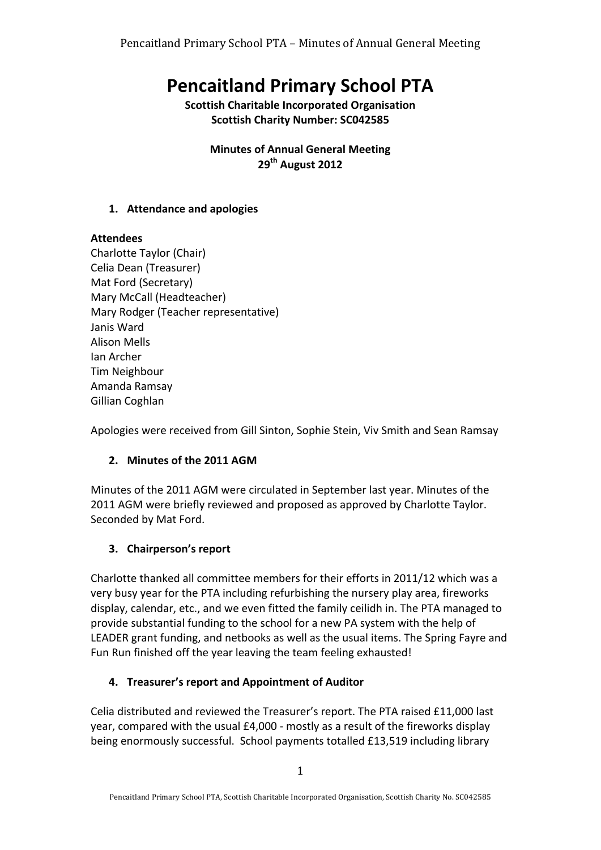# **Pencaitland Primary School PTA**

**Scottish Charitable Incorporated Organisation Scottish Charity Number: SC042585** 

> **Minutes of Annual General Meeting 29th August 2012**

#### **1. Attendance and apologies**

## **Attendees**

Charlotte Taylor (Chair) Celia Dean (Treasurer) Mat Ford (Secretary) Mary McCall (Headteacher) Mary Rodger (Teacher representative) Janis Ward Alison Mells Ian Archer Tim Neighbour Amanda Ramsay Gillian Coghlan

Apologies were received from Gill Sinton, Sophie Stein, Viv Smith and Sean Ramsay

# 2. Minutes of the 2011 AGM

Minutes of the 2011 AGM were circulated in September last year. Minutes of the 2011 AGM were briefly reviewed and proposed as approved by Charlotte Taylor. Seconded by Mat Ford.

# **3. Chairperson's report**

Charlotte thanked all committee members for their efforts in 2011/12 which was a very busy year for the PTA including refurbishing the nursery play area, fireworks display, calendar, etc., and we even fitted the family ceilidh in. The PTA managed to provide substantial funding to the school for a new PA system with the help of LEADER grant funding, and netbooks as well as the usual items. The Spring Fayre and Fun Run finished off the year leaving the team feeling exhausted!

# **4. Treasurer's report and Appointment of Auditor**

Celia distributed and reviewed the Treasurer's report. The PTA raised £11,000 last year, compared with the usual  $£4,000$  - mostly as a result of the fireworks display being enormously successful. School payments totalled £13,519 including library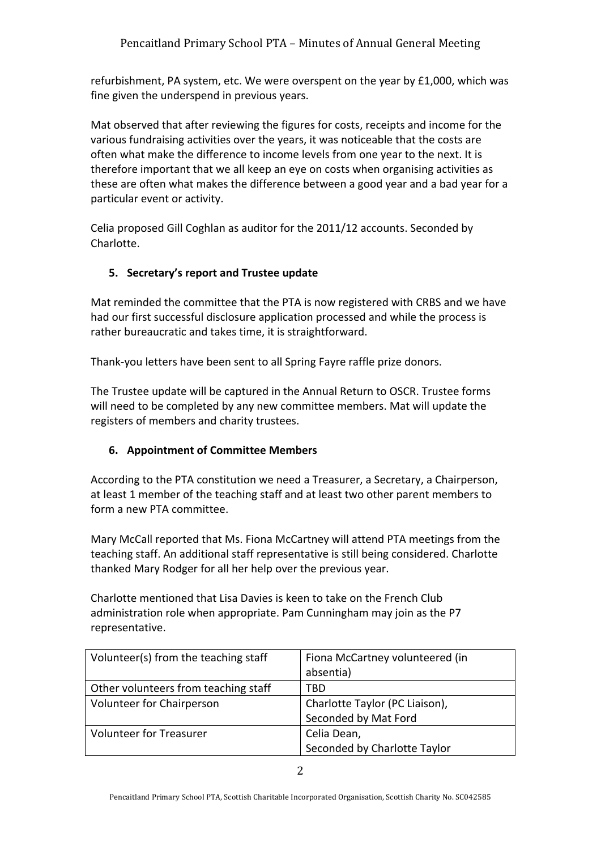refurbishment, PA system, etc. We were overspent on the year by £1,000, which was fine given the underspend in previous years.

Mat observed that after reviewing the figures for costs, receipts and income for the various fundraising activities over the years, it was noticeable that the costs are often what make the difference to income levels from one year to the next. It is therefore important that we all keep an eye on costs when organising activities as these are often what makes the difference between a good year and a bad year for a particular event or activity.

Celia proposed Gill Coghlan as auditor for the 2011/12 accounts. Seconded by Charlotte.

#### **5. Secretary's report and Trustee update**

Mat reminded the committee that the PTA is now registered with CRBS and we have had our first successful disclosure application processed and while the process is rather bureaucratic and takes time, it is straightforward.

Thank-you letters have been sent to all Spring Fayre raffle prize donors.

The Trustee update will be captured in the Annual Return to OSCR. Trustee forms will need to be completed by any new committee members. Mat will update the registers of members and charity trustees.

#### **6. Appointment of Committee Members**

According to the PTA constitution we need a Treasurer, a Secretary, a Chairperson, at least 1 member of the teaching staff and at least two other parent members to form a new PTA committee.

Mary McCall reported that Ms. Fiona McCartney will attend PTA meetings from the teaching staff. An additional staff representative is still being considered. Charlotte thanked Mary Rodger for all her help over the previous year.

Charlotte mentioned that Lisa Davies is keen to take on the French Club administration role when appropriate. Pam Cunningham may join as the P7 representative.

| Volunteer(s) from the teaching staff | Fiona McCartney volunteered (in |
|--------------------------------------|---------------------------------|
|                                      | absentia)                       |
| Other volunteers from teaching staff | TBD                             |
| Volunteer for Chairperson            | Charlotte Taylor (PC Liaison),  |
|                                      | Seconded by Mat Ford            |
| <b>Volunteer for Treasurer</b>       | Celia Dean,                     |
|                                      | Seconded by Charlotte Taylor    |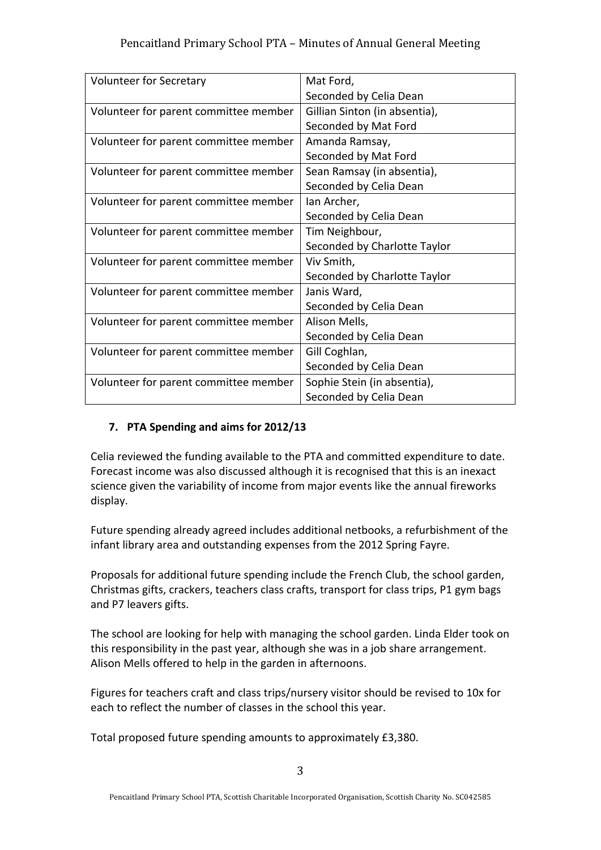| Volunteer for Secretary               | Mat Ford,                     |
|---------------------------------------|-------------------------------|
|                                       | Seconded by Celia Dean        |
| Volunteer for parent committee member | Gillian Sinton (in absentia), |
|                                       | Seconded by Mat Ford          |
| Volunteer for parent committee member | Amanda Ramsay,                |
|                                       | Seconded by Mat Ford          |
| Volunteer for parent committee member | Sean Ramsay (in absentia),    |
|                                       | Seconded by Celia Dean        |
| Volunteer for parent committee member | Ian Archer,                   |
|                                       | Seconded by Celia Dean        |
| Volunteer for parent committee member | Tim Neighbour,                |
|                                       | Seconded by Charlotte Taylor  |
| Volunteer for parent committee member | Viv Smith,                    |
|                                       | Seconded by Charlotte Taylor  |
| Volunteer for parent committee member | Janis Ward,                   |
|                                       | Seconded by Celia Dean        |
| Volunteer for parent committee member | Alison Mells,                 |
|                                       | Seconded by Celia Dean        |
| Volunteer for parent committee member | Gill Coghlan,                 |
|                                       | Seconded by Celia Dean        |
| Volunteer for parent committee member | Sophie Stein (in absentia),   |
|                                       | Seconded by Celia Dean        |

# **7. PTA Spending and aims for 2012/13**

Celia reviewed the funding available to the PTA and committed expenditure to date. Forecast income was also discussed although it is recognised that this is an inexact science given the variability of income from major events like the annual fireworks display.

Future spending already agreed includes additional netbooks, a refurbishment of the infant library area and outstanding expenses from the 2012 Spring Fayre.

Proposals for additional future spending include the French Club, the school garden, Christmas gifts, crackers, teachers class crafts, transport for class trips, P1 gym bags and P7 leavers gifts.

The school are looking for help with managing the school garden. Linda Elder took on this responsibility in the past year, although she was in a job share arrangement. Alison Mells offered to help in the garden in afternoons.

Figures for teachers craft and class trips/nursery visitor should be revised to 10x for each to reflect the number of classes in the school this year.

Total proposed future spending amounts to approximately £3,380.